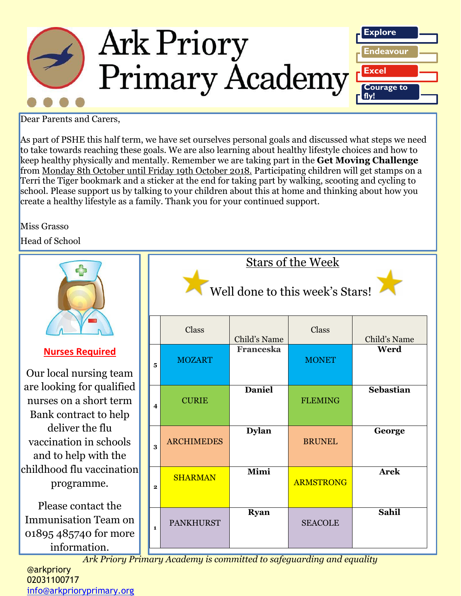

#### Dear Parents and Carers,

As part of PSHE this half term, we have set ourselves personal goals and discussed what steps we need to take towards reaching these goals. We are also learning about healthy lifestyle choices and how to keep healthy physically and mentally. Remember we are taking part in the **Get Moving Challenge** from Monday 8th October until Friday 19th October 2018. Participating children will get stamps on a Terri the Tiger bookmark and a sticker at the end for taking part by walking, scooting and cycling to school. Please support us by talking to your children about this at home and thinking about how you create a healthy lifestyle as a family. Thank you for your continued support.

#### Miss Grasso

Head of School

|                                                                                            | <b>Stars of the Week</b><br>Well done to this week's Stars!        |                  |                  |                  |  |
|--------------------------------------------------------------------------------------------|--------------------------------------------------------------------|------------------|------------------|------------------|--|
|                                                                                            | Class                                                              | Child's Name     | Class            | Child's Name     |  |
| <b>Nurses Required</b><br>Our local nursing team                                           | <b>MOZART</b><br>5                                                 | <b>Franceska</b> | <b>MONET</b>     | Werd             |  |
| are looking for qualified<br>nurses on a short term<br>Bank contract to help               | <b>CURIE</b><br>4                                                  | <b>Daniel</b>    | <b>FLEMING</b>   | <b>Sebastian</b> |  |
| deliver the flu<br>vaccination in schools<br>and to help with the                          | <b>ARCHIMEDES</b><br>3                                             | <b>Dylan</b>     | <b>BRUNEL</b>    | George           |  |
| childhood flu vaccination<br>programme.                                                    | <b>SHARMAN</b><br>$\mathbf{2}$                                     | Mimi             | <b>ARMSTRONG</b> | <b>Arek</b>      |  |
| Please contact the<br><b>Immunisation Team on</b><br>01895 485740 for more<br>information. | <b>PANKHURST</b><br>$\mathbf{1}$                                   | <b>Ryan</b>      | <b>SEACOLE</b>   | <b>Sahil</b>     |  |
|                                                                                            | Ank Driam Drimam Aegdamy is committed to safeguarding and equality |                  |                  |                  |  |

*Ark Priory Primary Academy is committed to safeguarding and equality* 

#### @arkpriory 02031100717 [info@arkprioryprimary.org](mailto:info@arkprioryprimary.org)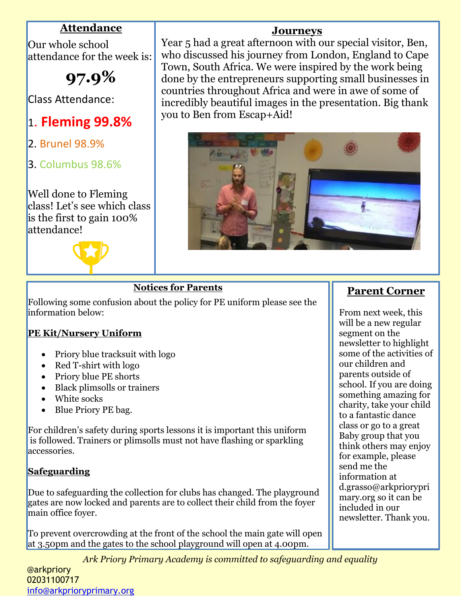## **Attendance**

Our whole school attendance for the week is:

**97.9%**

Class Attendance:

- 1. **Fleming 99.8%**
- 2. Brunel 98.9%
- 3. Columbus 98.6%

Well done to Fleming class! Let's see which class is the first to gain 100% attendance!



## **Journeys**

Year 5 had a great afternoon with our special visitor, Ben, who discussed his journey from London, England to Cape Town, South Africa. We were inspired by the work being done by the entrepreneurs supporting small businesses in countries throughout Africa and were in awe of some of incredibly beautiful images in the presentation. Big thank you to Ben from Escap+Aid!



### **Notices for Parents**

Following some confusion about the policy for PE uniform please see the information below:

#### **PE Kit/Nursery Uniform**

- Priory blue tracksuit with logo
- Red T-shirt with logo
- Priory blue PE shorts
- Black plimsolls or trainers
- White socks
- Blue Priory PE bag.

For children's safety during sports lessons it is important this uniform is followed. Trainers or plimsolls must not have flashing or sparkling accessories.

## **Safeguarding**

Due to safeguarding the collection for clubs has changed. The playground gates are now locked and parents are to collect their child from the foyer main office foyer.

To prevent overcrowding at the front of the school the main gate will open at 3.50pm and the gates to the school playground will open at 4.00pm.

*Ark Priory Primary Academy is committed to safeguarding and equality* 

# **Parent Corner**

From next week, this will be a new regular segment on the newsletter to highlight some of the activities of our children and parents outside of school. If you are doing something amazing for charity, take your child to a fantastic dance class or go to a great Baby group that you think others may enjoy for example, please send me the information at d.grasso@arkpriorypri mary.org so it can be included in our newsletter. Thank you.

@arkpriory 02031100717 [info@arkprioryprimary.org](mailto:info@arkprioryprimary.org)